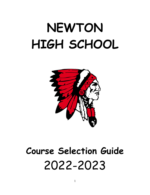# **NEWTON HIGH SCHOOL**



# **Course Selection Guide** 2022-2023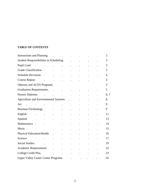# *TABLE OF CONTENTS*

| Instructions and Planning Theorem 2014                                                                                                                                                                                        |                                           |                                               |                          |                                                           |                           |                      | 3              |
|-------------------------------------------------------------------------------------------------------------------------------------------------------------------------------------------------------------------------------|-------------------------------------------|-----------------------------------------------|--------------------------|-----------------------------------------------------------|---------------------------|----------------------|----------------|
| <b>Student Responsibilities in Scheduling</b>                                                                                                                                                                                 |                                           |                                               |                          | $\mathcal{L}^{\text{max}}$ and $\mathcal{L}^{\text{max}}$ |                           |                      | 3              |
| Pupil Load (e.g., e.g., e.g., e.g., e.g., e.g., e.g., e.g., e.g., e.g., e.g., e.g., e.g., e.g., e.g., e.g., e.g                                                                                                               |                                           |                                               |                          | $\mathcal{L}^{(1)}$                                       | $\ddot{\phantom{0}}$      |                      | 3              |
|                                                                                                                                                                                                                               |                                           |                                               |                          | $\mathbb{Z}^2$                                            | $\mathbf{L}^{\text{max}}$ | $\ddot{\phantom{0}}$ | 3              |
|                                                                                                                                                                                                                               |                                           |                                               |                          | $\ddot{\phantom{0}}$                                      |                           |                      | $\overline{4}$ |
| Course Repeat. The course Repeat.                                                                                                                                                                                             |                                           |                                               |                          |                                                           | $\mathbf{L}^{\text{max}}$ |                      | $\overline{4}$ |
| Odyssey and ACES Programs                                                                                                                                                                                                     |                                           |                                               |                          |                                                           |                           |                      | 5              |
| Graduation Requirements. (a) and the contract of the contract of the contract of the contract of the contract of the contract of the contract of the contract of the contract of the contract of the contract of the contract |                                           |                                               |                          |                                                           |                           |                      | 5              |
| Honors Diploma de la contra de la contra de la contra de la contra de la contra de la contra de la contra de l                                                                                                                |                                           |                                               |                          |                                                           | $\mathbf{L}^{\text{max}}$ |                      | 6, 7           |
| Agriculture and Environmental Systems                                                                                                                                                                                         |                                           |                                               |                          |                                                           | $\ddot{\phantom{a}}$      |                      | 8              |
| Art $\cdot$ $\cdot$ $\cdot$ $\cdot$ $\cdot$ $\cdot$ $\cdot$                                                                                                                                                                   |                                           |                                               |                          | $\bullet$ .                                               |                           |                      | 9              |
| Business/Technology.                                                                                                                                                                                                          |                                           | $\mathbf{r} = \mathbf{r} \times \mathbf{r}$ . |                          | $\ddot{\phantom{a}}$                                      |                           |                      | 9              |
| English                                                                                                                                                                                                                       |                                           | $\mathbf{L} = \mathbf{0}$                     | <b>Contract Contract</b> | $\bullet$                                                 |                           |                      | 11             |
| Spanish                                                                                                                                                                                                                       | $\mathbf{L}^{(1)}$ and $\mathbf{L}^{(2)}$ | $\ddot{\phantom{a}}$                          | $\sim 100$ km s $^{-1}$  | $\ddot{\phantom{0}}$                                      | $\ddot{\phantom{0}}$      | $\ddot{\phantom{a}}$ | 13             |
| Mathematics                                                                                                                                                                                                                   |                                           | $\ddot{\phantom{0}}$                          | $\ddot{\phantom{a}}$     | $\ddot{\phantom{a}}$                                      | $\ddot{\phantom{0}}$      |                      | 14             |
|                                                                                                                                                                                                                               |                                           | $\sim$ $\sim$                                 |                          |                                                           | $\ddot{\phantom{a}}$      |                      | 15             |
| Physical Education/Health .                                                                                                                                                                                                   |                                           | $\sim 100$                                    |                          | $\bullet$                                                 | $\ddot{\phantom{0}}$      | $\ddot{\phantom{a}}$ | 16             |
| Science .                                                                                                                                                                                                                     | $\mathbf{L}^{(1)}$ and $\mathbf{L}^{(2)}$ | $\ddot{\phantom{0}}$                          | $\sim$                   |                                                           |                           |                      | 17             |
|                                                                                                                                                                                                                               |                                           |                                               | $\blacksquare$           | $\ddot{\phantom{a}}$                                      |                           |                      | 19             |
|                                                                                                                                                                                                                               |                                           |                                               |                          | $\Box$                                                    |                           |                      | 22             |
| College Credit Plus and the college Credit Plus                                                                                                                                                                               |                                           |                                               |                          | <b>All Contracts</b>                                      | $\ddot{\phantom{0}}$      | $\ddot{\phantom{0}}$ | 23             |
| Upper Valley Career Center Programs.                                                                                                                                                                                          |                                           |                                               |                          |                                                           |                           |                      | 24             |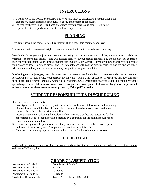# **INSTRUCTIONS**

- 1. Carefully read the Course Selection Guide to be sure that you understand the requirements for graduation, course offerings, prerequisites, costs, and content of the courses.
- 2. The request sheet is to be taken home and signed by your parents/guardians. Return the request sheet to the guidance office at or before assigned date.

# **PLANNING**

This guide lists all the courses offered by Newton High School this coming school year.

The Administration reserves the right to cancel a course due to lack of enrollment or staffing.

You should choose your subjects with extreme care taking into consideration your abilities, interests, needs, and chosen vocation. Your previous school record will indicate, fairly well, your special abilities. You should plan your courses to meet the requirements for your chosen programs at the Upper Valley Career Center and/or the entrance requirements of your chosen college. Be sure to discuss your educational plans with your parents, teachers, counselors, and any others who are interested in your welfare and who may be qualified to give you advice.

In selecting your subjects, pay particular attention to the prerequisites for admission to a course and to the requirements for receiving credit. It is unwise to take an elective for which you have little aptitude or in which you may have difficulty fulfilling the requirements for credit. At the time of registration, you are expected to accept responsibility for meeting the special requirements of the electives you choose. **Once you have made your selections, no changes will be permitted, unless extenuating circumstances are approved by Principal/Counselor.**

# **STUDENT RESPONSIBILITIES IN SCHEDULING**

It is the student's responsibility to:

- 1. Investigate the classes in which they will be enrolling so they might develop an understanding of what the classes will be like. Students should talk with teachers, counselors, and other students about these classes prior to enrolling.
- 2. Insure they are not overloading themselves with classes and that they are registering for the appropriate classes. Schedules will be checked by a counselor for the minimum number of classes and appropriate levels.
- 3. Discuss their plans with parents and direct any questions or concerns to the counselor prior to the end of the school year. Changes are not permitted after this point.
- 4. Choose classes in the spring and commit to those classes for the following school year.

# **PUPIL LOAD**

Each student is required to register for core courses and electives that will complete 7 periods per day. Students may only have **ONE** study hall.

# **GRADE CLASSIFICATION**

Assignment to Grade 9 Completion of Grade 8 Assignment to Grade 10 5 credits Assignment to Grade 11 10 credits Assignment to Grade 12 16 credits

Graduation Requirements Total: 22 credits for NHS/UVCC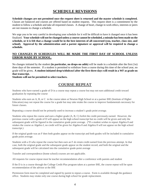# **SCHEDULE REVISIONS**

**Schedule changes are not permitted once the request sheet is returned and the master schedule is completed.** Classes are balanced and courses are offered based on student requests. This request sheet is a commitment by the student to follow a schedule and take all requested classes. A change of heart, change in work ethics, interests or peers are not reasons to change a schedule.

We urge you to be very careful in developing your schedule for it will be difficult to have it changed once it has been finalized. **Your schedule will not be changed unless a course cannot be scheduled, a mistake has been made on the schedule, or it is felt that a change would be in the best interests of all concerned (you, teacher, class size, and school). Approval by the administration and a parent signature or approval will be required to change a schedule.**

### **NO CHANGES IN SCHEDULES WILL BE MADE THE FIRST DAY OF SCHOOL UNLESS ERROR MADE BY SCHOOL.**

No changes initiated by the student **(in particular, no drops-no adds)** will be made in a schedule after the first (1st) three days of the semester. If a student is permitted to withdraw from a course during this time of the school year, no grade will be given**. A student initiated drop/withdrawl after the first three days will result in a WF as grade on that transcript.** 

**Students will not be permitted to select teachers.**

# **COURSE REPEAT**

Students who have earned a grade of D in a course may repeat a course but may not earn additional credit toward graduation *by* repeating the course

Students who earn an A, B, or C in the course taken at Newton High School or at a partner IHE (Institute of Higher Education) may not repeat the course for a grade but may take retake the course to improve fundamentals necessary for future classes.

Repeating a course should not be primarily used to increase a student's grade point average.

Students who repeat the course and earn a higher grade (A, B, C) forfeit the credit previously earned. However, the previous course with a grade of D will appear on the high school transcript but no credit will be given and only the subsequent grade will be figured in the cumulative grade point average. (\*If a student wishes to repeat Algebra 8 and retakes the course as Algebra I, no credit will be given for Algebra 8 and Algebra 8 will not appear on the high school transcript.)

If the original grade was an F then both grades appear on the transcript and both grades will be included in cumulative grade point average.

Students with a D who repeat the course but then earn an F *do* retain credit earned from the previous attempt. In that case, both the original grade and the subsequent grade appear on the student record, and both the original and the subsequent grade will be calculated into the cumulative grade-point average

Transfer and correspondence (home school) courses are not applicable.

All requests for course repeat must be teacher recommendation after a conference with parents and student

If the D is in a course through the College Credit Plus program taken at a partner IHE, the course repeat will be upon recommendation of the advisor at the IHE

Permission form must be completed and signed by parent to repeat a course. Form is available through the guidance office. Students may retake only one course during high school for grade replacement.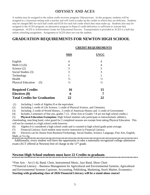# **ODYSSEY AND ACES**

A student may be assigned to the online credit recovery program: Odysseyware. In this program, students will be assigned to a classroom setting with a teacher and will work to make up the credits in which they are deficient. Students may be charged \$85 for each half credit and \$150 for each full credit which they must make up. Students also may be assigned to the ACES program, an alternative program in Piqua if credit deficiency is sufficient to warrant that assignment. ACES is Achievement Center for Educational Success. Transportation is provided as ACES is a half day online schooling assignment. Assignment to ACES does not cost the student.

 **CREDIT REQUIREMENTS**

# **GRADUATION REQUIREMENTS FOR NEWTON HIGH SCHOOL**

|                                     | <b>NHS</b>    | TVCC          |
|-------------------------------------|---------------|---------------|
| English                             | 4             | 4             |
| Math $(1)$ $(6)$                    | 4             | 4             |
| Science $(2)$                       | 3             | 3             |
| Social Studies (3)                  | 3             | 3             |
| Technology                          |               |               |
| Health                              | $\frac{1}{2}$ | $\frac{1}{2}$ |
| <b>Physical Education</b><br>(5)    | $\frac{1}{2}$ | $\frac{1}{2}$ |
| <b>Required Credits</b>             | 16            | 15            |
| Electives (8)                       | 6             |               |
| <b>Total Credits for Graduation</b> | 22            |               |

(1) Including 1 credit of Algebra II or the equivalent

(2) Including 1 credit of Life Science, 1 credit of Physical Science, and Chemistry

(3) Including .5 credit of World History, .5 credit of American History and .5 credit of Government

(4) Includes 2 semesters of fine arts, grades 7-12. (Fine Arts in Grades 7-8 are not high school credits.)

(5) **Physical Education Exemption:** High School students who participate in interscholastic athletics,

cheerleading, marching band, color guard for 2 completed seasons are exempt from taking Physical Education. This will not be counted as a high school credit however.

(6) Algebra 8 is considered a high school credit and is counted in high school grade point average.

(7) Financial Literacy: Each student must receive instruction in Financial Literacy.

(8) Electives can be chosen from Business/Technology, Social Studies, Science, Language, Fine Arts, English, Math, or Vo Ag.

 Additionally, every student will have the opportunity to take a nationally-recognized college admission exam (ACT offered at Newton) free of charge in the  $11<sup>th</sup>$  grade.

# **Newton High School students must have 22 Credits to graduate.**

\*Fine Arts – Art (1-4), Band, Choir, Instrumental Music, Jazz Band, Show Choir

\*\*Financial Literacy – Business Management for Agricultural and Environmental Systems, Agricultural and Environmental Systems Capstone, Accounting, Publishing, Marketing, Stock Market, Economics – **Starting with graduating class of 2026 Financial Literacy will be a stand alone course!**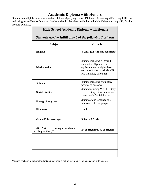# **Academic Diploma with Honors**

Students are eligible to receive a seal on diploma signifying Honors Diploma. Students qualify if they fulfill the following for an Honors Diploma. Students should plan ahead with their schedule if they plan to qualify for the Honors Diploma.

| <b>High School Academic Diploma with Honors</b>             |                                                                                                                                                            |  |  |
|-------------------------------------------------------------|------------------------------------------------------------------------------------------------------------------------------------------------------------|--|--|
| Students need to fulfill only 6 of the following 7 criteria |                                                                                                                                                            |  |  |
| <b>Criteria</b><br><b>Subject</b>                           |                                                                                                                                                            |  |  |
| <b>English</b>                                              | 4 Units (all students required)                                                                                                                            |  |  |
| <b>Mathematics</b>                                          | 4 units, including Algebra I,<br>Geometry, Algebra II or<br>equivalent and a higher level<br>elective (Statistics, Algebra III,<br>Pre-Calculus, Calculus) |  |  |
| <b>Science</b>                                              | 4 units, including chemistry,<br>physics or anatomy                                                                                                        |  |  |
| <b>Social Studies</b>                                       | 4 units including World History,<br>U. S. History, Government, and<br>1 elective in Social Studies                                                         |  |  |
| <b>Foreign Language</b>                                     | 3 units of one language or 2<br>units each of 2 languages                                                                                                  |  |  |
| <b>Fine Arts</b>                                            | 1 unit                                                                                                                                                     |  |  |
| <b>Grade Point Average</b>                                  | 3.5 on 4.0 Scale                                                                                                                                           |  |  |
| <b>ACT/SAT (Excluding scores from</b><br>writing sections)* | 27 or Higher/1280 or Higher                                                                                                                                |  |  |
|                                                             |                                                                                                                                                            |  |  |
|                                                             |                                                                                                                                                            |  |  |
|                                                             |                                                                                                                                                            |  |  |

\*Writing sections of either standardized test should not be included in the calculation of this score.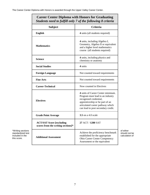$\Gamma$ 

|                                                                          | <b>Career Center Diploma with Honors for Graduating</b><br>Students need to fulfill only 7 of the following 8 criteria |                                                                                                                                                                                                              |                                              |
|--------------------------------------------------------------------------|------------------------------------------------------------------------------------------------------------------------|--------------------------------------------------------------------------------------------------------------------------------------------------------------------------------------------------------------|----------------------------------------------|
|                                                                          | <b>Subject</b>                                                                                                         | <b>Criteria</b>                                                                                                                                                                                              |                                              |
|                                                                          | <b>English</b>                                                                                                         | 4 units (all students required)                                                                                                                                                                              |                                              |
|                                                                          | <b>Mathematics</b>                                                                                                     | 4 units, including Algebra I,<br>Geometry, Algebra II or equivalent<br>and a higher level mathematics<br>course (all students required)                                                                      |                                              |
|                                                                          | Science                                                                                                                | 4 units, including physics and<br>chemistry or anatomy                                                                                                                                                       |                                              |
|                                                                          | <b>Social Studies</b>                                                                                                  | 4 units                                                                                                                                                                                                      |                                              |
|                                                                          | <b>Foreign Language</b>                                                                                                | Not counted toward requirements                                                                                                                                                                              |                                              |
|                                                                          | <b>Fine Arts</b>                                                                                                       | Not counted toward requirements                                                                                                                                                                              |                                              |
|                                                                          | <b>Career-Technical</b>                                                                                                | Now counted in Electives                                                                                                                                                                                     |                                              |
|                                                                          | <b>Electives</b>                                                                                                       | 4 units of Career Center minimum.<br>Program must lead to an industry<br>recognized credential,<br>apprenticeship or be part of an<br>articulated career pathway which<br>can lead to post secondary credit. |                                              |
|                                                                          | <b>Grade Point Average</b>                                                                                             | <b>3.5</b> on a 4.0 scale                                                                                                                                                                                    |                                              |
|                                                                          | <b>ACT/SAT Score [excluding</b><br>scores from the writing sections]*                                                  | 27 ACT / 1280 SAT                                                                                                                                                                                            |                                              |
| *Writing sections<br>standardized test<br>included in the<br>this score. | <b>Additional Assessment</b>                                                                                           | Achieve the proficiency benchmark<br>established for the appropriate<br>Ohio Career Center Competency<br>Assessment or the equivalent                                                                        | of either<br>should not be<br>calculation of |

┑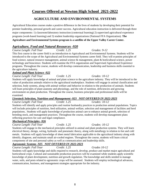# **Courses Offered at Newton High School 2021-2022**

# **AGRICULTURE AND ENVIRONMENTAL SYSTEMS**

Agricultural Education courses make a positive difference in the lives of students by developing their potential for premier leadership, personal growth and career success. Agricultural education instruction is delivered through three major components: 1) classroom/laboratory instruction (contextual learning) 2) [supervised agricultural experience](https://www.ffa.org/about/whoweare/sae) programs (work-based learning) and 3) student leadership organizations (National FFA Organization). **The Agriculture and Environmental Systems program is a satellite of the Upper Valley Career Center.**

# *Agriculture, Food and Natural Resources -920*

*Course Length: Full Year Credit: 1.25 Grades: 9-12*

This first course in the career field is an introduction to Agricultural and Environmental Systems. Students will be introduced to the scope of the Agricultural and Environmental Systems career field. They will examine principles of food science, natural resource management, animal science & management, plant & horticultural science, power technology and bioscience. Students will examine the FFA organization and Supervised Agricultural Experience programs. Throughout the course, students will develop communication, leadership and business skills essential to the agriculture industry.

# *Animal and Plant Science -922*

*Course Length: Full Year Credit: 1.25 Grades: 10-12* Students will apply knowledge of animal and plant science to the agriculture industry. They will be introduced to the value of production animals relative to the agricultural marketplace. Students will engage in animal classification and selection, body systems, along with animal welfare and behavior in relation to the production of animals. Students will learn principles of plant anatomy and physiology, and the role of nutrition, deficiencies and growing environment on plant production. Throughout the course, business principles and professional skills will be examined.

# *Livestock Selection, Nutrition and Management -923 NOT OFFERED IN 2022-2023*

*Course Length: Full Year Credit: 1.25 Grades: 10-12* Students will identify and apply principles and routine husbandry practices to production animal populations. Topics will include principles of nutrition, feed utilization, animal welfare, selection and management of facilities and herd populations.. Students will apply knowledge of production animal care to enhance animal growth, selection of breeding stock, and management practices. Throughout the course, students will develop management plans reflecting practices for care and legal compliance.

# *Mechanical Principles -926*

*Course Length: Full Year Credit: 1.25 Grades: 10-12* Students will engage in the mechanical principles utilized in animal and plant production systems. They will learn electrical theory, design, wiring, hydraulic and pneumatic theory, along with metallurgy in relation to hot and cold metals. Students will apply knowledge of sheet metal fabrication applicable to the agricultural industry along with identify, diagnose, and maintain small air-cooled engines. Throughout the course, students will learn critical components of site and personal safety as well as communication and leadership skills.

# *Agronomic Systems -925 NOT OFFERED IN 2022-2023*

*Course Length: Full Year Credit: 1.25 Grades 10-12*

Students will apply knowledge and skills required to research, develop, produce and market major agricultural and horticultural crops. Cultural and sustainable production practices will be examined while students apply scientific knowledge of plant development, nutrition and growth regulation. The knowledge and skills needed to manage water, soils, and pests related to agronomic crops will be assessed. Students will employ technological advances, communication, business, and management strategies appropriate for the industry.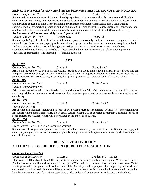*Business Management for Agricultural and Environmental Systems-924 NOT OFFERED IN 2022-2023 Course Length: Full Year Credit: 1.25 Grades: 11, 12*

Students will examine elements of business, identify organizational structures and apply management skills while developing business plans, financial reports and strategic goals for new ventures or existing businesses. Learners will use marketing concepts to evaluate the marketing environment and develop a marketing plan with marketing channels, product approaches, promotion and pricing strategies. Throughout the course, students will apply concepts of ethics and professionalism while implications of business regulations will be identified. (Financial Literacy) *Agricultural and Environmental Systems Capstone -930*

*Course Length: Full Year Credit: TBD Grade:* 12 Students apply Agricultural and Environmental Systems program knowledge and skills in a more comprehensive and authentic way. Capstones are project/problem-based learning opportunities that occur both in and away from school. Under supervision of the school and through partnerships, students combine classroom learning with work experience to benefit themselves and others. These can take the form of mentorship employment, cooperative education, apprenticeships and internships. (Financial Literacy)

*Course Length: Full Year Credit: 1 Grade 9 - 12*

Art I is an introductory course in art and design. Students will spend time studying artists, art in cultures, and art interpretation through slides, textbooks, and worksheets. Related art projects to this study using various art media such as pencils, watercolors, acrylic paints, oil pastels, clay, printing, and mixed media will be used by the students.

#### *Art II - 102*

*Art I - 101*

*Course Length: Full Year Credit: 1 Grade: 9 – 12 Course Prerequisite: Art I*

Art II is an intermediate art course offered to students who have taken Art I. Art II students will continue their study of art through slides, textbooks, and worksheets and then do related projects of various art media at advanced levels of complexity.

# *Art III - 103*

*Course Length: Full Year Credit: 1 Grade: 9 - 12*

*Prerequisite: Art II*

Art III will be an advanced, individualized study of art. Students must have completed Art I and Art II before taking Art III. Art III will be comparable to a studio art class. Art III students will be expected to maintain a portfolio (of which some projects are required) which will be evaluated at the end of each quarter.

# *Art IV - 104*

*Course Length: Full Year Credit: 1 Grade: 9 - 12*

*Prerequisite: Art III (Teacher Recommendation)*

Students will utilize past art experiences and individual talents to select special areas of interest. Students will apply art elements, principles, attributes of creativity, originality, interpretations, and expressions to create a portfolio of required and selected projects.

# **BUSINESS/TECHNOLOGY A TECHNOLOGY CREDIT IS REQUIRED FOR GRADUATION**

### *Computer Concepts– 110*

*Course Length: Semester Credit: .5 Grades: 9, 10, 11, 12*

 This course will build on the four Office applications taught in the jr. high level computer course: Word, Excel, Power Point and Access. It will introduce advanced concepts in Word and Excel. Instead of focusing on Power Point, Multi-Media presentation programs such as Prezi and Slide Rocket (an online program that supports group work and collaboration) will be used. Students will be provided a Gmail account that is on the school server and will be used to learn how to use email as a form of correspondence. Also added will be the use of Google Docs and the cloud.

# **ART**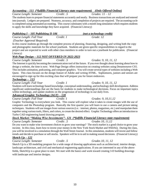# *Accounting – 111 (\*fulfills Financial Literacy state requirement) (Only Offered Online)*

*Course Length: Semester Credit: .5 Grades: 11 – 12*

The students learn to prepare financial statements accurately and neatly. Business transactions are analyzed and entered into journals. Ledgers are prepared. Neatness, accuracy, and completion of projects are required. The accounting cycle is completed using automated accounting. This course culminates with a month long simulation which requires students to apply the skills and knowledge they have acquired. (Financial Literacy)

# *Publishing I – 105 Publishing II-106 (not a technology credit)*

*Course Length: Full Year Credit: 1 Grade: 12 (Teacher Approval Required)*

In this course students go through the complete process of planning, financing, designing, and writing both the copy and photographic materials for the school yearbook. Students are given specific responsibilities in regard to the project and are expected to work with other class members in order to turn out a yearbook for publication. (Financial Literacy)

# *Web Page Design – 112 NOT OFFERED IN 2022-2023*

*Course Length: Semester Credit: .5 Grades: 9, 10, 11, 12* The Internet is quickly becoming the communication tool of the future. If you ever thought about learning about how to design a website, the time is now. Web Page Design offers instruction on creating websites using Dreamweaver CS5. This includes animation, podcasting, and computer graphics. You will create several types of websites including a Web Quest. This class focuses on the design feature of Adobe and writing HTML. Sophomores, juniors and seniors are encouraged to sign up for this exciting class that will prepare you for future endeavors.

# *Technology – 113*

*Course Length: Full Year Credit: 1 Grades: 9, 10, 11, 12* Students will learn technology based knowledge, conceptual understanding, and technology skill development. Address significant understandings that are the basis for students to make technological decisions. Focus on important topics within technology, and update students on the progression of technology in our daily lives.

### *Advanced Graphic Technology (AGT) – 120*

*Course Length: Full Year Credit: 1 Grades: 9, 10,11,12* Graphic Technology is everywhere you look. This course will explore what it takes to create images with the use of computers and the Photoshop program. Basically the first quarter you will learn to use a camera and picture taking techniques. Students will use images from various sources (i.e.: internet, photos, magazines, etc.) and manipulate them together using various tools, filters, and colors, to create the desired effect. Graphic Technology offers an introduction to Turbo CAD engineering based drawing program.

# *Stock Market: "Making Wise Investments"– 121 (\*fulfills Financial Literacy state requirement)*

*Course Length: Semester Credit: .5 Grades 10, 11,12* Do you want to make wise investment choices to grow your earnings? The stock market is a good choice to grow your income. In this class, learn how to invest your money in the New York Stock Market and NSDAQ. During the class, you will be involved in a simulation through the Wall Street Journal. In this simulation, students will invest and follow trends and decide to purchase or sell stocks. Speakers will be in to aid in making sound decisions. (Financial Literacy)

# *Sketch Up – 122*

*Course Length: Semester Credit: .5 Grades 10, 11, 12* Sketch Up is a 3D modeling program for a wide range of drawing applications such as architectural, interior design, landscape architecture, and civil and mechanical engineering applications. If you are interested in any of the above fields, SketchUp is a great place to start. We start with the basics and work toward creating 3-D building drawings with landscape and interior designs.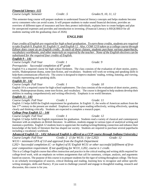*Financial Literacy -115*

*Course Length: Semester Credit: .5 Grades:9, 10, 11, 12*

This semester-long course will prepare students to understand financial literacy concepts and helps students become savvy consumers who can avoid scams. It will prepare students to make sound financial decisions, provides an overview of different types of insurance and how they protect individuals, explains how to create budgets and plan for unexpected expenses and provides and introduction to investing. (Financial Literacy is REQUIRED for all students starting with the graduating class of 2026)

# **ENGLISH**

*Four credits of English are required for high school graduation. To earn these credits, students are required to take English 9, English 10, English 11, and English 12. Also, COM 121S taken as a college course through Edison does count as an English credit. In each of these classes, students purchase various paperbacks, vocabulary workbooks, and other materials as required by the teacher. None of the English electives can be substituted for the required four credits of English.* 

### *English 9 – 141*

*Course Length: Full Year Credit: 1 Grade: 9*

*Prerequisite: Successful completion of 8th grade*

English 9 is a required course for high school freshmen. The class consists of the evaluation of short stories, poetry, novels, Shakespearean drama, some non-fiction, and vocabulary. Students will work on writing and speaking skills to help them communicate effectively. The course is designed to improve students' reading, writing, listening, and viewing, visually representing and speaking skills.

# *English 10 - 142*

*Course Length: Full Year Credit: 1 Grade: 10* English 10 is a required course for high school sophomores. The class consists of the evaluation of short stories, poetry, novels, Shakespearean drama, some non-fiction, and vocabulary. The course is designed to help students develop their abilities in reading comprehensively and writing effectively. Emphasis is on world literature.

#### *English 11 - 143*

*Course Length: Full Year Credit: 1 Grade: 11* English 11 helps fulfill the English requirement for graduation. In English 11, the works of American authors from the late 17<sup>th</sup> century to the present are studied. Emphasis is placed upon reading reflectively, writing effectively, speaking clearly and thinking critically. Students are expected to complete a research paper.

### *College Prep English 12 – 144*

*Course Length: Full Year Credit: 1 Grade: 12* English 12 helps fulfill the English requirement for graduation. Students read a variety of classical and contemporary literature with an emphasis on British literature. In addition, students engage in various types of analytical writing and maintain a portfolio. English 12 students learn to appreciate the reading/writing/thinking connection and enhance their knowledge of the body of literature that has shaped our society. Students are required to purchase several paperbacks including a vocabulary workbook.

# *Advanced English 12 – 145( Advanced English is offered as a CCP course through Indiana University.)*

*Course Length: Full Year Credit: 2 (1 for W131; 1 for L202) Grade: 12 W131= minimum GPA of 3.0 and approval from the English Department* 

*L202= Successful completion (C- or higher) of IU English W131 or other successful fulfillment of firstyear composition requirement. If not qualifying for W131, L202, course is 1 credit.*

This is a College English course that offers instruction and practice in the critical reading and writing skills required for college-level work, with an emphasis on written assignments that call for summary, critique, analysis, and arguments based on sources. The purpose of this course is to prepare students for the rigor of writing throughout college. The focus is on scholarly investigation of sources, critical thinking and reading, learning how to recognize and utilize specific writing strategies, skills and fluency. If you want to challenge yourself and engage in thoughtful reading, research and discussion, this course is for you.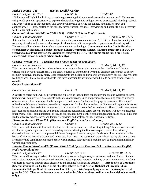*Senior Seminar -168 (Not an English Credit)*

*Course Length: Full Year Credit: .6 Grade: 12* "Skills beyond High School" Are you ready to go to college? Are you ready to survive on your own? This course will provide you with opportunity to explore what it takes to get into college, how to be successful after high school, and what it takes to be independent. This course will involve applying for college, scholarship search and applications, ACT prep, portfolios for college, career research, resumes, interviewing and other life skills necessary for life after high school.

# *Communications-140 (Edison COM 121S) COM 121S is an English credit.*

*Course Length: Semester Credit: .5/1 CCP Grades 9, 10, 11, 12* Introduction to principles of communication, particularly oral communication. Activities will involve sending and receiving of verbal and non -verbal messages in all contexts, with an emphasis on presentational speaking skills. The course will also have a focus of communicating with technology. **Communications is a Credit Plus class offered here at Newton High School through Edison Community College. Students must enroll in ECC by receiving a qualifying score on the Accuplacer test given by ECC. The course can be taken for 3 hours college credit or can be a high school credit only.)**

### *Creative Writing-146 ( Elective, not English credit for graduation)*

*Course Length: Semester Credit: .5 Grades 9, 10, 11, 12* This course is designed for the student who wants to explore the writing genres further. Students will develop writing skills beyond standard essays and allow students to expand their writing to different genres such as poetry, memoir, narrative, and many more. Class assignments are diverse and primarily writing heavy, but will involve some reading as well. This class is for students who have a passion for writing or would like to become stronger writers overall.

### *Career Exploration-147*

#### *Course Length: Semester Credit: .5 Grades 9, 10, 11, 12*

A variety of career paths will be presented and explored so that students can identify the options available to them. Students will complete self-assessments in the areas of interests, skills and personality, matching them to a variety of careers to explore more specifically in regards to their future. Students will engage in numerous different selfreflection activities to drive their research and preparation for their future endeavors. Students will apply information learned through class to decide on future class and educational choices before graduation. The class will demonstrate how academic achievement and goal setting influences personal and career growth. Students will develop essential interpersonal skills: communication, stress and time management, conflict resolution techniques and social skills that lead to effective school, career and family relationships and healthy, caring, responsible citizens.

### *Literature through Film- 139 (Elective, not English credit for graduation)*

*Course Length: Semester Credit: .5 Grades 10, 11, 12* This course will study both film and literature to better understand the craft of story-telling. The class will be made up of a variety of assignments based on reading text and viewing the film counterparts, but will be primarily discussion based in order to comprehend different interpretations and analysis. Students will be introduced to the basics of film and how it is created and interpreted from text. This course will discuss how literary elements of text are transformed using film elements to create visual stories. Students will be taught how to analyze film in similar ways to analyzing text.

#### *Introduction to Literature-138 (Edison ENG 123S) Sports Literature-149 (Elective, not English credit for graduation)*

*Course Length: Semester Credit: .5/1 CCP Grades: 10, 11, 12*  This course will survey a variety of writings about sports including novels, short stories, and non-fiction. Students will explore literature and various media outlets, including sports reporting and play-by-play announcing. Students will learn to respond through class discussions and assigned writings and activities. . **Introduction to Literature (Sports Literature) is a College Credit Plus class offered here at Newton High School through Edison Community College. Students must enroll in ECC by receiving a qualifying score on the Accuplacer test given by ECC. The course does not have to be taken for 3 hours college credit or can be a high school credit only.)**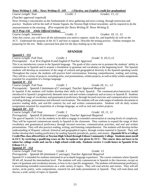#### *News Writing I- 148 ; News Writing II- 149 ( Elective, not English credit for graduation) Course Length: Year Credit: 1 Grades: 11, 12*

*(Teacher approval required)*

News Writing I concentrates on the fundamentals of news gathering and news writing, through instruction and practice. Students will be the staff of Smoke Signals, the Newton High School newsletter, and be required to do the announcements in the morning. *(Pre-requisite for News Writing II: News Writing I)*

# *ACT Prep-136 (Only Offered Online)*

*Course Length: Semester Credit: .5 Grades: 10, 11, 12* After this course, you will have all the information you need to register, study for, and hopefully do well on the ACT.Understand the purpose of the ACT and how to register. Describe the testing process.Outline strategies for preparing for the test.Make a personal best plan for the days leading up to the exam

### **SPANISH**

*Spanish I - 151 Course Length: Full Year Credit: 1 Grade: 9, 10,11,12*

*Prerequisite: A or B in English 8 and English 8 Teacher Approval*

This is an introductory course to the Spanish language. The goals of this course are to promote the students' ability to communicate in Spanish and to acquire a foundation in grammar and vocabulary at the beginning level. The Spanish students will develop an awareness of the range of cultural and geographical diversity in the Spanish-speaking world. Throughout the course, the students will practice brief conversations, listening comprehension, reading, and writing. They will do a variety of projects, including skits, oral presentations, written projects, as well as daily written assignments essential for acquisition of a foreign language.

### *Spanish II - 152*

*Course Length: Full Year Credit: 1 Grade:10, 11,- 12*

*Prerequisite: Spanish I (minimum of C average); Teacher Approval Required*

In Spanish II the students will further develop their skills in basic Spanish. The communicative/interactive model introduced in Spanish I progressively demands more oral and written complexity and accuracy in Spanish II. Students expand their range of vocabulary and grammatical proficiency through focused exercises and communication activities including dialogs, presentations and informal conversations. The students will use wide ranges of authentic documents to practice reading skills, and real-life contexts for oral and written communication. Students will do daily written assignments essential for acquisition of a foreign language, as well as oral and written projects.

#### *Spanish III - 153*

*Course Length: Full Year Credit: 1 Grade: 10, 11, 12 Prerequisite: Spanish II (minimum C average); Teacher Approval Required*

The goal of Spanish 3 is for the students to be able to engage in extended conversation at varying levels of complexity. They will be expected communicate mostly in Spanish in the classroom. They continue to expand the range of their vocabulary and grammatical proficiency through focused exercises, communication activities, and oral and written presentations. They will also practice reading, writing, and listening comprehension. The students will develop further understanding of Hispanic cultural, historical and geographical topics, through written material in Spanish. They will further develop their reading proficiency by reading Spanish periodicals, poetry, and stories. **(Spanish III is a College Credit Plus class offered here at Newton High School through Edison Community College. Students must enroll in ECC by receiving a qualifying score on the Accuplacer test given by ECC. The course does not have to be taken for college credit and can be a high school credit only. Students receive 3 credit hours in Spanish II for Edison CC.)**

# *Spanish IV - 154*

*Course Length: Full Year Credit: 1 Grade: 12*

*Prerequisite: Spanish III (minimum C average); Teacher Approval Required*

Spanish IV is intended for students interested in an in-depth language experience. The course continues where Spanish III left off, beyond the intermediate level. The students will only communicate in Spanish in the classroom, except on topics of grammar and vocabulary lessons, or how to do a specific assignment. The students will demonstrate proficiency in maintaining extended conversations on a wide variety of topics. They will read articles and stories. They will tell stories, recite poetry, write compositions, research for and make presentations in Spanish. They will read about and discuss a wide variety of topics in Spanish.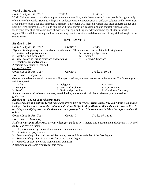### *World Cultures-155*

# *Course Length: Full Year Credit: 1 Grade: 11, 12*

World Cultures seeks to provide an appreciation, understanding, and tolerance toward other people through a study of cultures of the world. Students will gain an understanding and appreciation of different cultures and histories from around the world in a fun and informative manner.This course will focus on what makes these cultures unique and how different cultures interact. To do this, we will focus on various geographical and societal regions/groups, identifying how physical features and climate affect people and explore why human beings cluster in specific regions. There will be a strong emphasis on learning country locations and development of map skills throughout the semester/year*.*

#### **MATHEMATICS**

| <u> Algebra I - 180</u>                           |                         |                                                                                                                     |
|---------------------------------------------------|-------------------------|---------------------------------------------------------------------------------------------------------------------|
| Course Length: Full Year                          | Credit: 1               | Grade: 9                                                                                                            |
|                                                   |                         | Algebra I is a beginning course in abstract mathematics. The course will deal with the following areas:             |
| 1. Positive and negative numbers                  |                         | 5. Factoring polynomials                                                                                            |
| 2. Equations and inequalities                     |                         | 6. Graphing                                                                                                         |
| 3. Problem solving - using equations and formulas |                         | 7. Relations & functions                                                                                            |
| 4. Operations with polynomials                    |                         |                                                                                                                     |
| A scientific calculator is required.              |                         |                                                                                                                     |
| <b>Geometry - 181</b>                             |                         |                                                                                                                     |
| Course Length: Full Year                          | Credit: 1               | Grade: 9, 10, 11                                                                                                    |
| Prerequisite: Algebra I                           |                         |                                                                                                                     |
|                                                   |                         | Geometry is a developmental course that builds upon previously obtained mathematical knowledge. The following areas |
| will be covered:                                  |                         |                                                                                                                     |
| 1. Angles                                         | 4. Polygons             | 7. Circles                                                                                                          |
| 2. Triangles                                      | 5. Areas and Volumes    | 8. Constructions                                                                                                    |
| 3. Proofs                                         | 6. Ratio and proportion | 9. Coordinate Geometry                                                                                              |
|                                                   |                         | Students are required to have a compass, a straightedge, and scientific calculator. Geometry is required for        |
| graduation.                                       |                         |                                                                                                                     |
| Algebra II – 182 College Algebra-182A             |                         |                                                                                                                     |
|                                                   |                         | College Algebra is a College Credit Plus class offered here at Newton High School through Edison Community          |
|                                                   |                         | College. Students can receive 3 credit hours at Edison CC for College Algebra. Students must enroll in ECC by       |
|                                                   |                         | receiving a qualifying score on the Accuplacer test given by ECC. The course can be taken for high school credit    |

*only.)*

*Course Length: Full Year Credit: 1 Grade: 10, 11, 12*

*Prerequisite: Geometry*

*Students must pass Algebra II or equivalent for graduation.* Algebra II is a continuation of Algebra I. Areas of study to be covered include:

1. Organization and operation of rational and irrational numbers

2. Operations of polynomials

- 3. Solutions of equations and inequalities in one, two, and three variables of the first degree
- 4. Solutions of equations in two variables of the second degree
- 5. Methods of proof involving mathematical quantities

A graphing calculator is required for this course.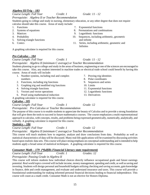# *Algebra III/Trig – 183*

*Course Length: Full Year Credit: 1 Grade: 11 - 12 Prerequisite: Algebra II or Teacher Recommendation*

Students going to college and study in nursing, elementary education, or any other degree that does not require calculus should take this course. Areas of study include:

- 1. Functions 7. Exponential functions
- 
- 
- 
- 5. Solving triangle functions and infinite
- 

A graphing calculator is required for this course.

# *Pre-Calculus – 184*

*Course Length: Full Year Credit: 1 Grade: 11 - 12*

# *Prerequisite: Algebra II (minimum C average) or Teacher Recommendation*

Students planning to go to college and study in the areas of business, engineering or one of the sciences are encouraged to take this course. Also, any student interested in machine trades or electrical trade school could benefit by having this course. Areas of study will include:

- 1. Number systems, including real and complex numbers
- 2. Functions, including trig functions
- 3. Graphing trig and modified trig functions
- 4. Solving triangle functions
- 5. Vectors and vector operations
- 6. Proof using mathematical induction

A graphing calculator is required for this course.

# *Calculus - 185*

*Course Length: Full Year Credit: 1 Grade: 12*

*Prerequisite: Pre-Calculus or Teacher Recommendation*

The purpose of this course is to enable students to appreciate the beauty of Calculus and to provide a strong foundation that will give them the tools to succeed in future mathematics courses. The course emphasizes a multi-representational approach to calculus, with concepts, results, and problems being expressed geometrically, numerically, analytically, and verbally. A graphing calculator is required for this course.

# *Statistics – 186*

*Course Length: Full Year Credit: 1 Grade: 12*

*Prerequisite: Algebra II (minimum C average) or Teacher Recommendation*

This course will teach students how to organize, analyze and draw conclusions from data. Probability as well as statistical characteristics of data will be discussed. Many real-life applications will be examined by discussing activities based upon realistic data sets. This course will place strong emphasis on conceptual understanding and is intended to help students apply a broad sense of statistical techniques. A graphing calculator is required for this course.

# *Consumer Math – 179 (\*fulfills Financial Literacy state requirement)*

*Course Length: Full Year Credit: 1 Grades: 12* 

# *Prerequisite: Passing Grade in Algebra II*

This course will inform students how individual choices directly influence occupational goals and future earnings potential. Real world topics covered will include income, money management, spending and credit, as well as saving and investing. Students will design personal and household budgets utilizing checking and saving accounts, gain knowledge in finance, debt and credit management, and evaluate and understand insurance and taxes. This course will provide a foundational understanding for making informed personal financial decisions leading to financial independence. This course will count as a math credit. Consumer Math is not an elective for Honors Diploma.

- 2. Systems of equations 2. Systems of equations 3. Permutations and combinations
- 3. Matrices 9. Logarithmic functions
- 4. Probability 10. Sequences, including arithmetic, geometric
- 6. Conics 11. Series, including arithmetic, geometric and **Infinites**

- 7. Proving trig identities
- 8. Polar coordinates
- 9. Sequences and series
- 10. Limits
- 11. Exponential functions
- 12. Logarithmic functions
- 13. Derivatives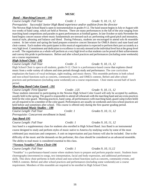# **MUSIC**

# *Band – Marching/Concert - 190*

# *Course Length: Full Year Credit: 1 Grade: 9, 10, 11, 12*

*Prerequisite: Successful Junior High Band experience and/or audition from the director*

The Newton High School Band is open to instrumentalists in grades 9-12. The band season begins in July or August with two weeks of band camp, which are held at Newton. There are many performances in the fall of the year ranging from marching band competitions and parades to guest performances at football games. In late October or early November the band begins concert season where music fundamentals are stressed such as: performing with good pitch and intonation, musical style, phrasing and balance and blend. During February, students are encouraged to attend solo & ensemble contest. In late winter and spring the band prepares extensive concert literature for OMEA district and state band and choir contest. Each student who participates in this musical organization is expected to perform their part accurately at a very high level. Commitment and dedication to excellence is not only stressed at the individual level but at the group level as well. The organization as a whole will perform at a very high level so that students can be proud of their achievements and convey this pride in performances. Before and after school practices and performances (including some weekends) are a course requirement.

# *High School Choir - 192*

*Course Length: Full Year Credit: .5 Grade: 9, 10, 11, 12*

High School Choir is open to all students, grades 9-12. Choir is a performance-based course that explores choral music from a wide variety of cultures and time periods through study and performance. The core curriculum emphasizes the basics of vocal technique, sight-reading, and music theory. This ensemble performs in both school and non-school functions such as concerts, community events, and OMEA contests. Before and after school practices and performances (including some weekends) are a course requirement. Choir meets second half of lunch period.

# *Marching Band Color Guard - 191*

*Course Length: First Quarter Credit: .125 Grade: 9, 10, 11, 12*

Those students interested in participating in the Newton High School Color Guard will only be accepted by audition, usually held in the spring. The guard is responsible to attend all rehearsals with the marching band and any extra practices held for the color guard. Morning practices, band camp, all performances with marching band, guard camp (when held) are all required to be a member of the color guard. Performances are usually on weekends and extra school practices are held before and sometimes after school. This course is offered only during the first quarter grading period. *Instructional Music Studies – 188*

| AIVOVI WYDVYD IVWY AIAVYDVY IJYWYWYYD        |           |                      |
|----------------------------------------------|-----------|----------------------|
| Course Length: Full Year                     | Credit: 1 | Grades 9, 10, 11, 12 |
| Prerequisite: Concurrent enrollment in band. |           |                      |

# *Jazz Band-195*

*Course Length: Full Year Credit: 1 Grades 9, 10, 11, 12*

Jazz band is a supplementary class for students also enrolled in High School Band. Jazz Band is an instrumental course designed to study and perform styles of music native to America by studying works by some of the most celebrated jazz musicians and composers. A unit on improvisation and jazz history will also be included. Due to the difficulty of the music and the demands on the performer, this class should be considered as an advanced ensemble. The ability to read music is considered essential to this class.

# *"Newton Notables" Show Choir-196*

# *Course Length: Full Year Credit: 1 Grades 9, 10, 11,12*

"Notables" is a performance-based course where students learn to prepare and perform popular music. Students learn choreography (movement) to songs, text interpretation, facial and body expression, and additional performance skills. This show choir performs in both school and non-school functions such as concerts, community events, and OMEA contests. Before and after school practices and performances (including some weekends) are a course requirement. Members of this ensemble are required to be enrolled in High School Choir.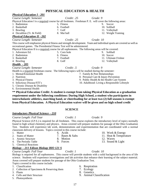# **PHYSICAL EDUCATION & HEALTH**

# *Course Length: Semester Credit: .25 Grade: 9*

#### Physical Education I is a required course for all freshmen. Freshman P. E. will cover the following areas: 5. Fitness 9. Soccer

6. Football 7. Golf 8. Mat ball

- 1. Badminton
- 2. Basketball
- 3. Bowling
- 4. Decathlon (Tr. & Field)

# *Physical Education II - 202*

*Physical Education I - 201*

### *Course Length: Semester Credit: .25 Grade: 10*

This course will emphasize physical fitness and strength development. Team and individual sports are covered as well as recreational games. The Presidential Fitness Test will be administered.

Physical Education II is a required course for all sophomores. The following areas will be covered: 5. Corn hole 9. Softball

> 6. Fitness 7. Football 8. Golf

- 1. Adventure Ed.
- 2. Badminton
- 3. Basketball
- 4. Bowling

#### *Health - 205*

*Course Length: Semester Credit: .5 Grade: 9*

- 1. Mental/Emotional Health
- 2. Nutrition
- 3. Physical Fitness
- 4. Infectious Disease/STI's
- 5. Chronic Disease & Disability
- 6. Environmental Health

**\*\* Physical Education Credit: A student is exempt from taking Physical Education as a graduation requirement under the following conditions: During High School, a student who participates in interscholastic athletics, marching band, or cheerleading for at least two (2) full seasons is exempt from Physical Education. A Physical Education waiver will be given and no high school credit** 

#### **SCIENCE**

6. Acids

7. Bases & Salts 8. Motion 9. Forces

### *Introductory Physical Science – 210*

*Course Length: Full Year Credit: 1 Grade: 9*

Physical Science (I.P.S.) is required for all freshmen. This course explores the introductory level of topics normally found in high school chemistry and physics. Areas covered will prepare students for passage of the Ohio Graduation Test. Students will experience lab work, demonstrations and experimentation that are coordinated with a normal classroom delivery of lessons. Topics covered in this course include:

- 1. Matter
- 2. States of Matter
- 3. Atomic Structure
- 4. The Periodic Table
- 5. Chemical Reactions

# *Biology – 211 Edison Biology BIO 121 S*

#### *Course Length: Full Year Credit: 1 Grade: 10*

Biology is required for all sophomores. This course will provide students with a solid background in the area of life science. Students will experience investigations and lab activities that enhance their learning of the subject material. Areas covered will prepare students for passage of the Ohio Graduation Test. Topics covered in this course include:

- 1. Classification
- 2. Collection of Specimens & Preserving them
- 3. Plants
- 4. Cells and their Structure
- 5. Photosynthesis

#### 6. Respiration

- 7. Ecology
- 8. Genetics
- 9. Animal Classification
- 10. Work & Energy
- 11. Heat & Temperature
- 12. Waves
- 13. Sound & Light

10. Soccer

11. Ultimate Frisbee 12. Volleyball

10. Softball 11. Volleyball 12. Weight Training

- Health is a required freshman course. The following topics will be studied during the semester: 7. Family & Peer Relationships
	-
	- 8. Personal Care & Injury Prevention
	- 9. Public Health & the Health Care System
	- 10. Adulthood: Living a Responsible Lifestyle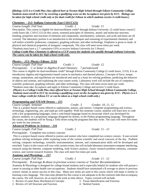*(Biology 121S is a Credit Plus class offered here at Newton High School through Edison Community College. Students must enroll in ECC by receiving a qualifying score on the Accuplacer test given by ECC. Biology can be taken for high school credit only or for dual credit for Edison in which students receive 4 credit hours.)*

#### *Chemistry – 212: Indiana University East C101/C121)*

*Course Length: Full Year Credit: 1 Grade: 11*

Description: This course is eligible for dual-enrollment credit\* through Indiana University. (3 credit hours course/2 credit hours lab, C101/C121) In this course, essential principles of chemistry, atomic and molecular structure, bonding, properties and reactions of elements and compounds, stoichiometry, solutions, and acids and bases are all covered. The laboratory portion is an introduction to the techniques and reasoning of experimental chemistry and will utilize scientific probeware, computers, graphing software, and other technology. Emphasis is given to study of physical and chemical properties of inorganic compounds. The class will meet seven times per week.

\*Students must have a 2.7 cumulative GPA to receive Indiana University for 5 Hours)

*College Credit Plus: Chemistry is offered as a CCP course for students who qualify through Indiana University. The course can be taken for high school credit only.* 

#### *Physics – 213: Physics Edison: 213A*

*Course Length: Full Year Credit: 1 Grade: 12*

*Prerequisite: C or better in Algebra II and Chemistry 7 periods/week*

This course is eligible for dual-enrollment credit<sup>\*</sup> through Edison Community College (5 credit hours, 121S). It is an introductory algebra and trigonometry-based course in mechanics and thermal physics. Concepts of force, torque, energy, momentum, and equilibrium are introduced and used as a basis for solving problems, predicting the behavior of objects and systems, and explaining the ways nature works. Laboratory work will include the use of computers, scientific probeware, graphing software, and other technology. The class will meet seven times per week. \*Students must take Accuplacer and apply to Edison Community College and receive 5 credit hours.

*(Physics is a College Credit Plus class offered here at Newton High School through Edison Community College. Students must enroll in ECC by receiving a qualifying score on the Accuplacer test given by ECC. Physics is a 5 hour college credit for Edison CC or can be taken as a high school credit only.)*

#### *Programming and STEAM Drones – 215*

*Course Length: Semester Credit: .5 Grades: 10, 11, 12* This is a project-based course offered to sophomores, juniors, and seniors. Computer programming and science, technology, engineering, arts, and math go well together. With this semester course, students will learn how to code with a few programming languages, from a web-based language based on Javascript which was developed for physics students, to a proprietary language designed for drones, to the Python programming language. Throughout the course, the students will be flying a Tello drone using the programs that they write. The class will meet five times per week for one semester.

#### *Advanced Problems in Science – 216*

*Course Length: Full Year Credit: 1 Grade: 11 - 12*

*Prerequisite: Complete two science courses*

This is a project-based course offered to juniors and seniors who have completed two science courses. It uses several problem solving techniques while exploring some of the current scientific and social concerns of the day. Problem solving, computer technology, scientific instrumentation, internet, and communication skills will be developed and enriched. Topics in the course will vary with current events, but will include laboratory instrument-computer interfacing, research using the Internet, computer modeling, Junk Science analysis, classic research problem solutions, consumer science, and current research frontiers. The class will meet five times per week.

### *Anatomy and Physiology – 217*

#### *Course Length: Full Year Credit: 1 Grade: 11 - 12*

*Prerequisite: B average & above in previous science courses or Teacher Recommendation*

Anatomy & Physiology is designed for college bound students and is especially helpful for students who will pursue a career in nursing or other health care occupations. Students should have maintained a B average or above in previous science classes to assure success in this class. Many new terms are sued in this course which will make it similar to learning a new language. The class time allotted for this course is not adequate to do the extensive labs that accompany the course. We will, however, do as much lab work as time allows. Topics covered will include:

- 3. Tissue Identification and Function
- 2. Review of Cell Structure and Function

1. Review of some Basic Biochemical Concepts

- 
- 4. Skeletal System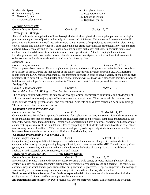19

5. Muscular System

- 6. Integumentary System
- 7. Nervous System
- 8. Cardiovascular System

# *Forensic Science-218*

*Course Length: Semester Credit: .5 Grades 11, 12*

 *Prerequisite: Biology* Forensic science is the application of basic biological, chemical and physical science principles and technological practices to the purposes of justice in the study of criminal and civil issues. This course will present the scientific principles and laboratory and field methods forensic scientists use to solve problems. Students will explore how to collect, handle, and evaluate evidence. Topics studied include crime scene analysis, chromatography, hair and fiber analysis, DNA technology and its uses, toxicology, anthropology, pathology, ballistics, fingerprints, impression evidence, questioned documents, criminalistics and career opportunities. After developing a foundation of knowledge students will take on the various roles of crime scene investigator, scientists and medical examiner in order to collect and evaluate evidence in a mock criminal investigation.

# *Robotics – 219*

# *Course Length: Semester Credit: .5 Grades: 10, 11, 12*

This is a project-based course offered to sophomores, juniors, and seniors. Engineers and scientists both use robots for a variety of tasks. During the first quarter of the course, students will program and build LEGO Mindstorms robots using the LEGO Mindstorms graphical programming software in order to solve a variety of engineering-style problems. Then during the second quarter of the course, students will use those skills along with scientific probes to build robots that will perform science experiments. The class will meet five times per week for one semester.

# *Zoology-209*

# *Course Length: Semester Credit: .5 Grades 11, 12*

*Prerequisite: A or B in Biology or Teacher Recommendation*

The zoology course will cover the science of zoology, animal architecture, taxonomy and phylogeny of animals, as well as the major phyla of invertebrates and vertebrates. The course will include lectures, labs, outside reading, presentations, and dissections. Students should have earned an A or B in biology. This course will be challenging but fun.

# *Computer Science Principles-208*

# *Course Length: Full Year Credit: 1 Grades 10, 11, 12*

Computer Science Principles is a project-based course for sophomores, juniors, and seniors. It introduces students to the foundational concepts of computer science and challenges them to explore how computing and technology can impact the world. More than a traditional introduction to programming, it is a rigorous, engaging, and approachable course that explores many of the foundational ideas of computing so all students understand how these concepts are transforming the world we live in. This course was developed by code.org to help students learn how to write code but also to learn more about the technology-filled world in which they live.

# *Computer Programming with Scratch-206*

Course Length: Semester Credit: .5 Grades: 9, 10, 11, 12 Computer Programming with Scratch is a project-based course for students of all ages. It is an introduction to computer science using the programming language Scratch, which was developed by MIT. You will develop video games, interactive stories, animations and more while learning the basics of coding. Scratch is a web-based application and accessible on Chromebooks, PCs, and laptops.

# *Environmental Science-208 (Only Offered Online)*

# *Course Length: Semester Credit: .5 Grades: 11, 12*

Environmental Science is an interdisciplinary course covering a wide variety of topics including biology, physics, geology, ecology, chemistry, geography, astronomy, meteorology, oceanography, and engineering. The course also considers ways in which human populations affect our planet and its processes. Of special emphasis is the concept of sustainability as a means of using resources in a way that ensures they will always be around us.

**Environmental Science Semester One:** Students explore the field of environmental science studies, including ecology, terrestrial biomes, and human impact on the environment.

**Environmental Science Semester Two:** Students will explore energy resources, climate change and pollution.

9. Lymphatic System 10. Respiratory System 11. Endocrine System 12. Digestive System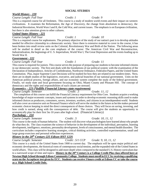# **SOCIAL STUDIES**

# *World History - 220*

*Course Length: Full Year Credit: 1 Grade: 9*

This is a required course for all freshmen. This course is a study of modern world events and their impact on western civilizations. It examines the Reformation, the Age of Discovery, the change from absolutism to democracy, the Industrial Revolution, World Wars I and II, the Cold War, and current issues. The emphasis is on European civilization, but there is also attention given to other cultures.

### *United States History - 221*

*Course Length: Full Year Credit: 1 Grade: 10*

This is a required course for sophomores. The primary objective of the study of our nation's past is to develop attitudes needed for effective citizenship in a democratic society. Since there is extensive material to cover in the course, it has been broken into small review units on the Colonial, Revolutionary War and Birth of the Nation. The following areas will be studied in detail as the core emphasis of the course: The American Civil War and Reconstruction, Industrialization, the beginnings of U. S. Imperialism, World War I, The Great Depression and the events leading up to World War II.

### *Government - 222*

*Course Length: Full Year Credit: 1 Grade: 11*

This course is required for juniors. This course serves the purpose of preparing our students to become informed citizens in our democratic society. The first unit deals with the foundations of our political system: with the examination of the Declaration of Independence, Articles of Confederation, Northwest Ordinance, Federalist Papers, and the United States Constitution. Plus, major Supreme Court Decisions will be studied for how they are related to our modern times. Next, there are in-depth studies of the legislative, executive, and judicial branches of our national government. Units on the American political process, foreign affairs, and our economic system complete the study of the federal government. Finally, we study state and local government focusing on Ohio, Miami County and Pleasant Hill. The concept of democracy and the rights and responsibilities of each citizen are stressed.

#### *Economics – 223 (\*fulfills Financial Literacy state requirement)*

*Course Length: Semester Credit: .5 Grade: 11, 12*

 The completion of this course can fulfill the Financial Literacy requirement for Ohio Core. Students acquire a working knowledge of major economic concepts, issues and systems in order to develop economic reasoning skills used to make informed choices as producers, consumers, savers, investors, workers, and citizens in an interdependent world. Students will also cover an extensive unit on Personal Finance which will serve the student in the future as he/she makes personal economic choices keeping in mind the direct consequences of those choices. They will focus on saving, investing, and how credit is earned, along with the consequences of debt. The course will give the students an opportunity to economically plan for their first 5to 10 years after high school. (Financial Literacy)

# *Psychology - 224*

*Course Length: Semester Credit: .5 Grade: 10, 11, 12*

This course is the study of human behavior. The student will discover what psychologists have learned about why people do what they do. The class examines the science of behavior in the development of the individual, perception, learning development, intelligence, emotions, personality development, levels of consciousness, and mental health disorders. The curriculum includes cooperative learning strategies, critical thinking activities, controlled experimentation, small and large group exercises and personal reflection experiences.

# *History in the 20th Century-225 Edison HST 122S*

*Course Length: Semester Credit: .5/1 CCP Grade: 9, 10, 11, 12*

This course is a study of the United States from 1900 to current day. The emphasis will be upon major political and economic developments, the historical roots of contemporary social tension, and the expanded role of the United States in world affairs. This class will be designed to add more depth when compared to the standard U.S. History curriculum due to a narrowed scope of time and topics. **History in the 20th Century is a College Credit Plus class offered here at Newton High School through Edison Community College. Students must enroll in ECC by receiving a qualifying score on the Accuplacer test given by ECC. Students can receive 3 hours credit at Edison CC or take the course as a High School Credit Only.**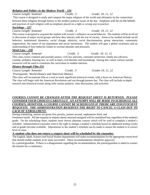### 21

# *Religion and Politics in the Modern World – 226*

# This course is designed to study and compare the major religions of the world and ultimately tie the connections between these religions through history to the modern political issues of the day. Emphasis will be on the beliefs and practices of each religion with no emphasis placed on a right or wrong way to practice.

# *Sociology – 227*

*Course Length: Semester Credit: .5 Grade: 10, 11, 12*

This course is designed to acquaint the student with society's influence on social behavior. The students will be involved in discussion of major social groups and how they interact with the rest of society. Areas to be studied include social behavior, institutional dynamics, social change, ethnicity, racial discrimination, group interaction, community organization, the nature of our population and social institutions. The student will gain a global awareness and an understanding of how behavior relates to societal attitudes and pressures.

# *Street Law – 228*

# *Course Length: Semester Credit: .5 Grade: 10, 11, 12*

This class covers criminal and juvenile justice, civil law and torts, consumer protection, family law (divorce, custody, probate), housing law, as well as basic civil liberties and lawmaking. During this course various outside resources will be used to customize the curriculum to student interests.

# *History through Film-231*

*Course Length: Semester Credit: .5 Grades 10, 11, 12*

*Prerequisite: World History and American History*

This class will incorporate film as a tool to teach significant historical events, with a focus on American History. The class will begin with the American Revolution and run through present day. The class will include in-depth research into historical events along with various projects, class discussions, and activities.

# *COURSES CANNOT BE CHANGED AFTER THE REQUEST SHEET IS RETURNED. PLEASE CONSIDER YOUR CHOICES CAREFULLY. AN ATTEMPT WILL BE MADE TO SCHEDULE ALL COURSES; HOWEVER, A COURSE CANNOT BE SCHEDULED IF THERE ARE INSUFFICIENT REQUESTS. THE ADMINISTRATION RESERVES THE RIGHT TO CANCEL A CLASS DUE TO LACK OF ENROLLMENT.*

During scheduling, seniors are given first priority, juniors second, sophomores third, and

Freshmen fourth. All late requests or request sheets returned unsigned will be considered last, regardless of the student's grade. On the scheduling sheet, students must choose alternate courses which will be used to complete a student's schedule. Administration/counselor reserve the right to change a student's schedule based on additional testing results and as grades become available. Adjustments to the student's schedule can be made to ensure the student is in correct level of class.

# **A student who does not return a request sheet will be scheduled by the counselor.**

The English, Math, Science and Social Studies departments will make recommendations for the appropriate course level that should enable students to be more successful. These recommendations should be approved by a parent/guardian. If there is a disagreement regarding the recommendation, the parent/guardian is asked to contact the teacher for a conference.

# *Course Length: Semester Credit: .5 Grade: 10, 11, 12*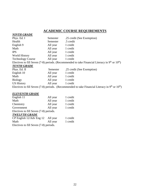# **ACADEMIC COURSE REQUIREMENTS**

| <b>NINTH GRADE</b>       |          |                                                                                                     |
|--------------------------|----------|-----------------------------------------------------------------------------------------------------|
| Phys. Ed. I              | Semester | .25 credit (See Exemption)                                                                          |
| Health                   | Semester | .5 credit                                                                                           |
| English 9                | All year | 1 credit                                                                                            |
| Math                     | All year | 1 credit                                                                                            |
| <b>IPS</b>               | All year | 1 credit                                                                                            |
| World History            | All year | 1 credit                                                                                            |
| <b>Technology Course</b> | All year | 1 credit                                                                                            |
|                          |          | Electives to fill Seven (7-8) periods. (Recommended to take Financial Literacy in $9th$ or $10th$ ) |
| <b>TENTH GRADE</b>       |          |                                                                                                     |
| Phys. Ed. II             | Semester | .25 credit (See Exemption)                                                                          |
| English 10               | All year | 1 credit                                                                                            |
| Math                     | All year | 1 credit                                                                                            |
| <b>Biology</b>           | All year | 1 credit                                                                                            |
| <b>US History</b>        | All year | 1 credit                                                                                            |
|                          |          | Electives to fill Seven (7-8) periods. (Recommended to take Financial Literacy in $9th$ or $10th$ ) |

### *ELEVENTH GRADE*

| English 11                             | All year | 1 credit |
|----------------------------------------|----------|----------|
| Math                                   | All year | 1 credit |
| Chemistry                              | All year | 1 credit |
| Government                             | All year | 1 credit |
| Electives to fill Seven (7-8) periods. |          |          |
| <b>TWELFTH GRADE</b>                   |          |          |
| CP English 12/Adv Eng 12               | All year | 1 credit |
| Math                                   | All year | 1 credit |
| Electives to fill Seven (7-8) periods. |          |          |
|                                        |          |          |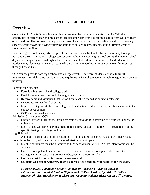# **COLLEGE CREDIT PLUS**

# **Overview**

College Credit Plus is Ohio's dual enrollment program that provides students in grades 7-12 the opportunity to earn college and high school credits at the same time by taking courses from Ohio colleges or universities. The purpose of this program is to enhance students' career readiness and postsecondary success, while providing a wide variety of options to college-ready students, at no or limited costs to students and families.

Newton High School has a partnership with Indiana University East and Edison Community College. IU East and Edison Community College courses are taught at Newton High School during the regular school day and are taught by certified high school teachers who hold adjunct status with IU and Edison CC. Students may also elect to take courses at Edison Community College in Piqua or take on-line courses through Edison CC.

CCP courses provide both high school and college credit.. Therefore, students are able to fulfill requirements for high school graduation and requirements for college admission while beginning a college transcript.

Benefits for Students:

- Earn dual high school and college credit
- Participate in an enriched and challenging curriculum
- Receive more individualized instruction from teachers trained as adjunct professors
- Experience college-level expectations
- Improve ability and skills to do college work and gain confidence that derives from success in the college level courses
- CCP is no cost to the student

Admission Standards for CCP

- On track toward fulfilling the basic academic preparation for admission to a four year college or university
- Each college will have individual requirements for acceptance into the CCP program, including specific testing for college readiness

Highlights of CC+

All public districts and public Institutions of higher education (IHE) must allow college-ready students grades 7-12, who qualify for college admission to participate.

- Intent to participate must be submitted to high school prior April 1. No late intent forms will be accepted. .
- Convert College Credit as follows: Per CC+ course, 3 or more college credits convert to 1 Carnegie unit. If less than 3 college credits, convert proportionally.
- **Courses must be nonsectarian and non-remedial**.
- **Students who fail or withdraw from a course after deadlines will be billed for the class.**

*IU East Courses Taught at Newton High School: Chemistry; Advanced English Edison Courses Taught at Newton High School: College Algebra; Spanish III; College Biology; Physics; Introduction to Literature; Communications; History in the 20th Century.*